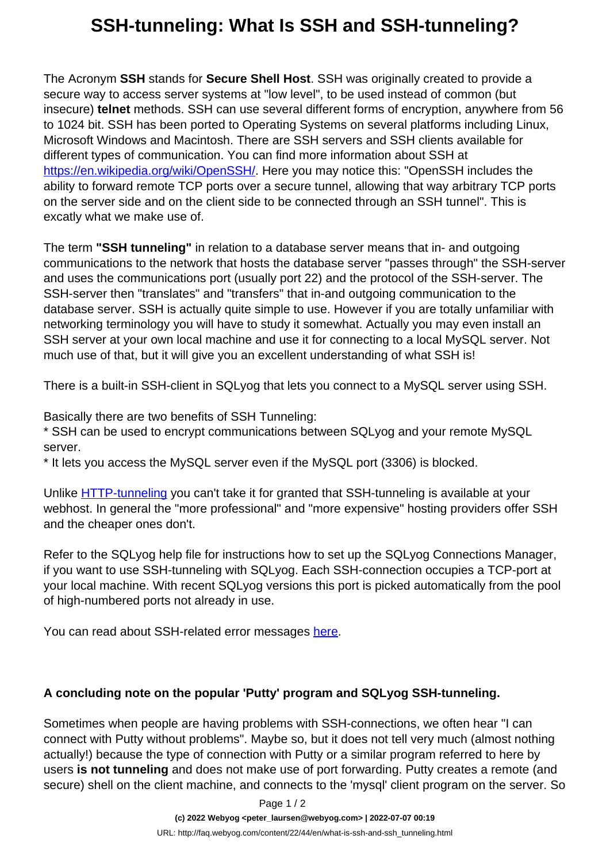## **SSH-tunneling: What Is SSH and SSH-tunneling?**

The Acronym **SSH** stands for **Secure Shell Host**. SSH was originally created to provide a secure way to access server systems at "low level", to be used instead of common (but insecure) **telnet** methods. SSH can use several different forms of encryption, anywhere from 56 to 1024 bit. SSH has been ported to Operating Systems on several platforms including Linux, Microsoft Windows and Macintosh. There are SSH servers and SSH clients available for different types of communication. You can find more information about SSH at [https://en.wikipedia.org/wiki/OpenSSH/](https://en.wikipedia.org/wiki/OpenSSH). Here you may notice this: "OpenSSH includes the ability to forward remote TCP ports over a secure tunnel, allowing that way arbitrary TCP ports on the server side and on the client side to be connected through an SSH tunnel". This is excatly what we make use of.

The term **"SSH tunneling"** in relation to a database server means that in- and outgoing communications to the network that hosts the database server "passes through" the SSH-server and uses the communications port (usually port 22) and the protocol of the SSH-server. The SSH-server then "translates" and "transfers" that in-and outgoing communication to the database server. SSH is actually quite simple to use. However if you are totally unfamiliar with networking terminology you will have to study it somewhat. Actually you may even install an SSH server at your own local machine and use it for connecting to a local MySQL server. Not much use of that, but it will give you an excellent understanding of what SSH is!

There is a built-in SSH-client in SQLyog that lets you connect to a MySQL server using SSH.

Basically there are two benefits of SSH Tunneling:

\* SSH can be used to encrypt communications between SQLyog and your remote MySQL server.

\* It lets you access the MySQL server even if the MySQL port (3306) is blocked.

Unlike [HTTP-tunneling](http://www.webyog.com/faq/index.php?action=artikel&cat=21&id=19&artlang=en) you can't take it for granted that SSH-tunneling is available at your webhost. In general the "more professional" and "more expensive" hosting providers offer SSH and the cheaper ones don't.

Refer to the SQLyog help file for instructions how to set up the SQLyog Connections Manager, if you want to use SSH-tunneling with SQLyog. Each SSH-connection occupies a TCP-port at your local machine. With recent SQLyog versions this port is picked automatically from the pool of high-numbered ports not already in use.

You can read about SSH-related error messages [here.](http://webyog.com/faq/22_113_en.html)

## **A concluding note on the popular 'Putty' program and SQLyog SSH-tunneling.**

Sometimes when people are having problems with SSH-connections, we often hear "I can connect with Putty without problems". Maybe so, but it does not tell very much (almost nothing actually!) because the type of connection with Putty or a similar program referred to here by users **is not tunneling** and does not make use of port forwarding. Putty creates a remote (and secure) shell on the client machine, and connects to the 'mysql' client program on the server. So

Page 1 / 2